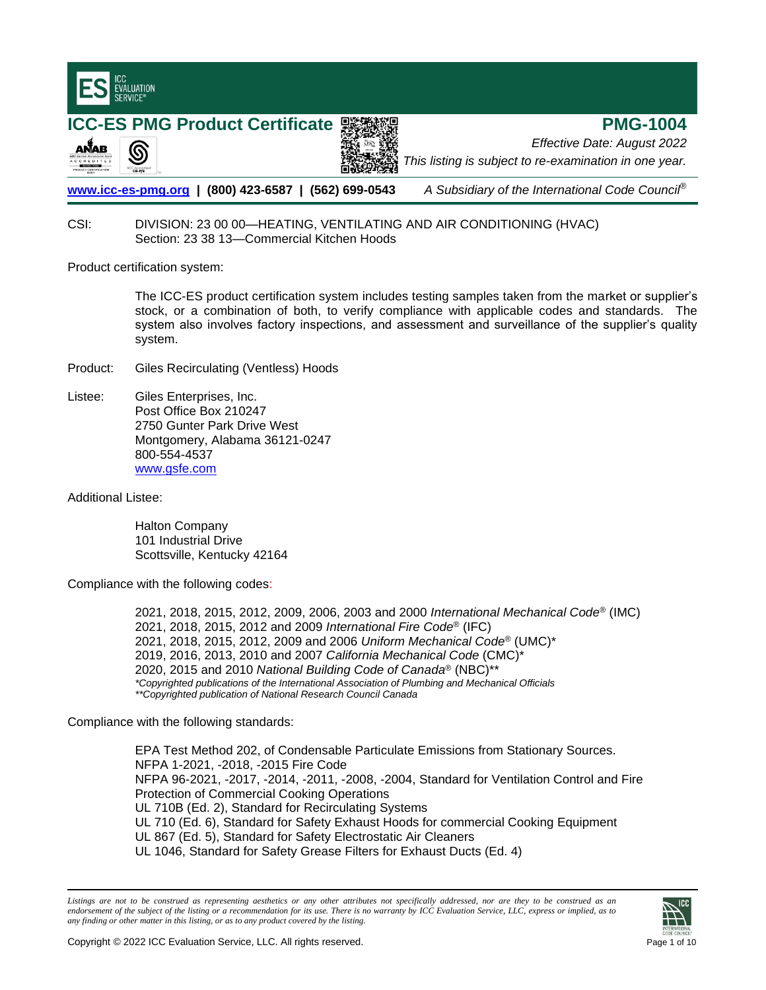

# CSI: DIVISION: 23 00 00—HEATING, VENTILATING AND AIR CONDITIONING (HVAC) Section: 23 38 13—Commercial Kitchen Hoods

Product certification system:

The ICC-ES product certification system includes testing samples taken from the market or supplier's stock, or a combination of both, to verify compliance with applicable codes and standards. The system also involves factory inspections, and assessment and surveillance of the supplier's quality system.

- Product: Giles Recirculating (Ventless) Hoods
- Listee: Giles Enterprises, Inc. Post Office Box 210247 2750 Gunter Park Drive West Montgomery, Alabama 36121-0247 800-554-4537 [www.gsfe.com](http://www.gsfe.com/)

Additional Listee:

Halton Company 101 Industrial Drive Scottsville, Kentucky 42164

Compliance with the following codes:

2021, 2018, 2015, 2012, 2009, 2006, 2003 and 2000 *International Mechanical Code*® (IMC) 2021, 2018, 2015, 2012 and 2009 *International Fire Code*® (IFC) 2021, 2018, 2015, 2012, 2009 and 2006 *Uniform Mechanical Code*® (UMC)\* 2019, 2016, 2013, 2010 and 2007 *California Mechanical Code* (CMC)\* 2020, 2015 and 2010 *National Building Code of Canada*® (NBC)\*\* *\*Copyrighted publications of the International Association of Plumbing and Mechanical Officials \*\*Copyrighted publication of National Research Council Canada*

Compliance with the following standards:

EPA Test Method 202, of Condensable Particulate Emissions from Stationary Sources. NFPA 1-2021, -2018, -2015 Fire Code NFPA 96-2021, -2017, -2014, -2011, -2008, -2004, Standard for Ventilation Control and Fire Protection of Commercial Cooking Operations UL 710B (Ed. 2), Standard for Recirculating Systems UL 710 (Ed. 6), Standard for Safety Exhaust Hoods for commercial Cooking Equipment UL 867 (Ed. 5), Standard for Safety Electrostatic Air Cleaners UL 1046, Standard for Safety Grease Filters for Exhaust Ducts (Ed. 4)

Listings are not to be construed as representing aesthetics or any other attributes not specifically addressed, nor are they to be construed as an *endorsement of the subject of the listing or a recommendation for its use. There is no warranty by ICC Evaluation Service, LLC, express or implied, as to any finding or other matter in this listing, or as to any product covered by the listing.*

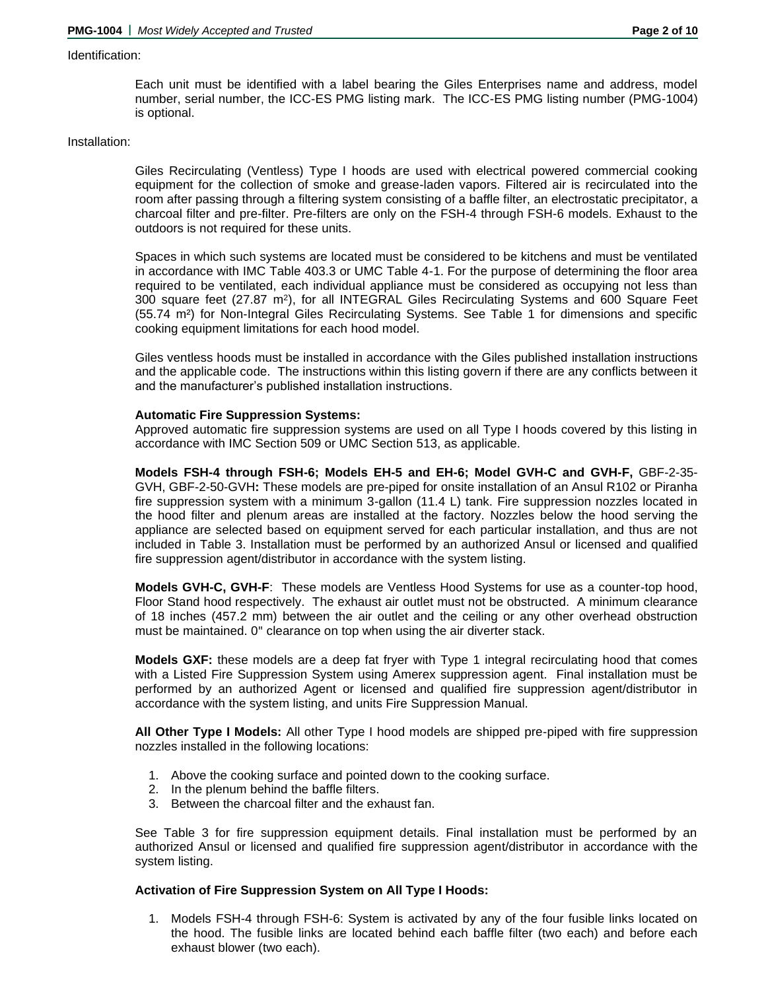#### Identification:

Each unit must be identified with a label bearing the Giles Enterprises name and address, model number, serial number, the ICC-ES PMG listing mark. The ICC-ES PMG listing number (PMG-1004) is optional.

#### Installation:

Giles Recirculating (Ventless) Type I hoods are used with electrical powered commercial cooking equipment for the collection of smoke and grease-laden vapors. Filtered air is recirculated into the room after passing through a filtering system consisting of a baffle filter, an electrostatic precipitator, a charcoal filter and pre-filter. Pre-filters are only on the FSH-4 through FSH-6 models. Exhaust to the outdoors is not required for these units.

Spaces in which such systems are located must be considered to be kitchens and must be ventilated in accordance with IMC Table 403.3 or UMC Table 4-1. For the purpose of determining the floor area required to be ventilated, each individual appliance must be considered as occupying not less than 300 square feet (27.87 m<sup>2</sup>), for all INTEGRAL Giles Recirculating Systems and 600 Square Feet (55.74 m²) for Non-Integral Giles Recirculating Systems. See Table 1 for dimensions and specific cooking equipment limitations for each hood model.

Giles ventless hoods must be installed in accordance with the Giles published installation instructions and the applicable code. The instructions within this listing govern if there are any conflicts between it and the manufacturer's published installation instructions.

#### **Automatic Fire Suppression Systems:**

Approved automatic fire suppression systems are used on all Type I hoods covered by this listing in accordance with IMC Section 509 or UMC Section 513, as applicable.

**Models FSH-4 through FSH-6; Models EH-5 and EH-6; Model GVH-C and GVH-F,** GBF-2-35- GVH, GBF-2-50-GVH**:** These models are pre-piped for onsite installation of an Ansul R102 or Piranha fire suppression system with a minimum 3-gallon (11.4 L) tank. Fire suppression nozzles located in the hood filter and plenum areas are installed at the factory. Nozzles below the hood serving the appliance are selected based on equipment served for each particular installation, and thus are not included in Table 3. Installation must be performed by an authorized Ansul or licensed and qualified fire suppression agent/distributor in accordance with the system listing.

**Models GVH-C, GVH-F**: These models are Ventless Hood Systems for use as a counter-top hood, Floor Stand hood respectively. The exhaust air outlet must not be obstructed. A minimum clearance of 18 inches (457.2 mm) between the air outlet and the ceiling or any other overhead obstruction must be maintained. 0" clearance on top when using the air diverter stack.

**Models GXF:** these models are a deep fat fryer with Type 1 integral recirculating hood that comes with a Listed Fire Suppression System using Amerex suppression agent. Final installation must be performed by an authorized Agent or licensed and qualified fire suppression agent/distributor in accordance with the system listing, and units Fire Suppression Manual.

**All Other Type I Models:** All other Type I hood models are shipped pre-piped with fire suppression nozzles installed in the following locations:

- 1. Above the cooking surface and pointed down to the cooking surface.
- 2. In the plenum behind the baffle filters.
- 3. Between the charcoal filter and the exhaust fan.

See Table 3 for fire suppression equipment details. Final installation must be performed by an authorized Ansul or licensed and qualified fire suppression agent/distributor in accordance with the system listing.

## **Activation of Fire Suppression System on All Type I Hoods:**

1. Models FSH-4 through FSH-6: System is activated by any of the four fusible links located on the hood. The fusible links are located behind each baffle filter (two each) and before each exhaust blower (two each).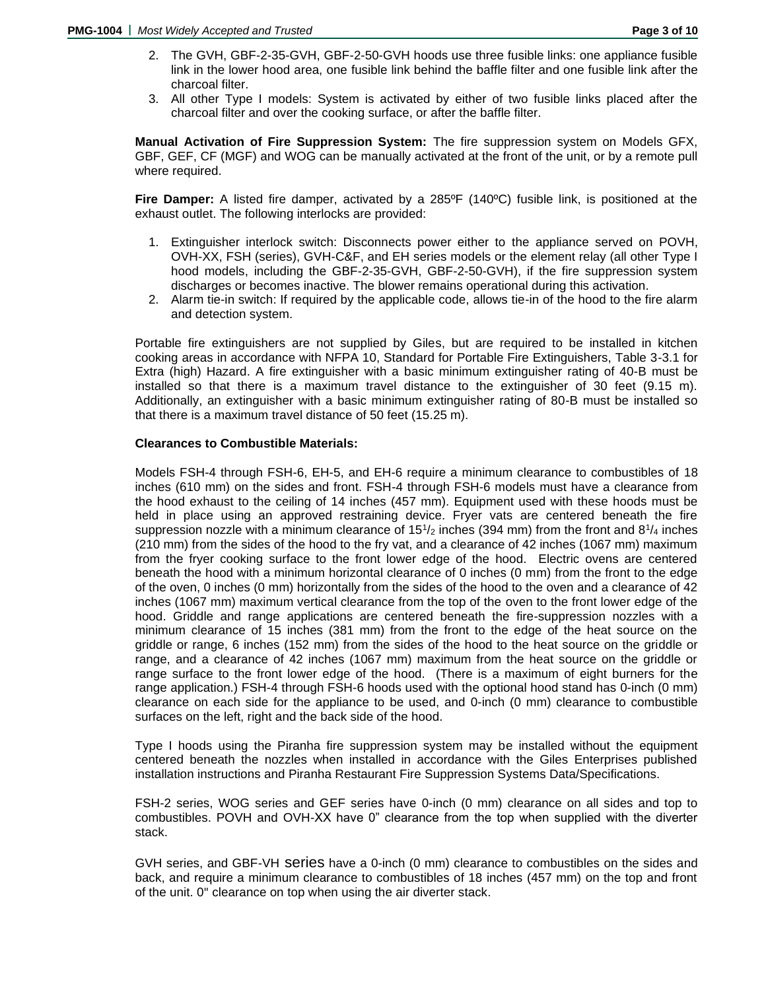- 2. The GVH, GBF-2-35-GVH, GBF-2-50-GVH hoods use three fusible links: one appliance fusible link in the lower hood area, one fusible link behind the baffle filter and one fusible link after the charcoal filter.
- 3. All other Type I models: System is activated by either of two fusible links placed after the charcoal filter and over the cooking surface, or after the baffle filter.

**Manual Activation of Fire Suppression System:** The fire suppression system on Models GFX, GBF, GEF, CF (MGF) and WOG can be manually activated at the front of the unit, or by a remote pull where required.

**Fire Damper:** A listed fire damper, activated by a 285ºF (140ºC) fusible link, is positioned at the exhaust outlet. The following interlocks are provided:

- 1. Extinguisher interlock switch: Disconnects power either to the appliance served on POVH, OVH-XX, FSH (series), GVH-C&F, and EH series models or the element relay (all other Type I hood models, including the GBF-2-35-GVH, GBF-2-50-GVH), if the fire suppression system discharges or becomes inactive. The blower remains operational during this activation.
- 2. Alarm tie-in switch: If required by the applicable code, allows tie-in of the hood to the fire alarm and detection system.

Portable fire extinguishers are not supplied by Giles, but are required to be installed in kitchen cooking areas in accordance with NFPA 10, Standard for Portable Fire Extinguishers, Table 3-3.1 for Extra (high) Hazard. A fire extinguisher with a basic minimum extinguisher rating of 40-B must be installed so that there is a maximum travel distance to the extinguisher of 30 feet (9.15 m). Additionally, an extinguisher with a basic minimum extinguisher rating of 80-B must be installed so that there is a maximum travel distance of 50 feet (15.25 m).

### **Clearances to Combustible Materials:**

Models FSH-4 through FSH-6, EH-5, and EH-6 require a minimum clearance to combustibles of 18 inches (610 mm) on the sides and front. FSH-4 through FSH-6 models must have a clearance from the hood exhaust to the ceiling of 14 inches (457 mm). Equipment used with these hoods must be held in place using an approved restraining device. Fryer vats are centered beneath the fire suppression nozzle with a minimum clearance of  $15\frac{1}{2}$  inches (394 mm) from the front and  $8\frac{1}{4}$  inches (210 mm) from the sides of the hood to the fry vat, and a clearance of 42 inches (1067 mm) maximum from the fryer cooking surface to the front lower edge of the hood. Electric ovens are centered beneath the hood with a minimum horizontal clearance of 0 inches (0 mm) from the front to the edge of the oven, 0 inches (0 mm) horizontally from the sides of the hood to the oven and a clearance of 42 inches (1067 mm) maximum vertical clearance from the top of the oven to the front lower edge of the hood. Griddle and range applications are centered beneath the fire-suppression nozzles with a minimum clearance of 15 inches (381 mm) from the front to the edge of the heat source on the griddle or range, 6 inches (152 mm) from the sides of the hood to the heat source on the griddle or range, and a clearance of 42 inches (1067 mm) maximum from the heat source on the griddle or range surface to the front lower edge of the hood. (There is a maximum of eight burners for the range application.) FSH-4 through FSH-6 hoods used with the optional hood stand has 0-inch (0 mm) clearance on each side for the appliance to be used, and 0-inch (0 mm) clearance to combustible surfaces on the left, right and the back side of the hood.

Type I hoods using the Piranha fire suppression system may be installed without the equipment centered beneath the nozzles when installed in accordance with the Giles Enterprises published installation instructions and Piranha Restaurant Fire Suppression Systems Data/Specifications.

FSH-2 series, WOG series and GEF series have 0-inch (0 mm) clearance on all sides and top to combustibles. POVH and OVH-XX have 0" clearance from the top when supplied with the diverter stack.

GVH series, and GBF-VH series have a 0-inch (0 mm) clearance to combustibles on the sides and back, and require a minimum clearance to combustibles of 18 inches (457 mm) on the top and front of the unit. 0" clearance on top when using the air diverter stack.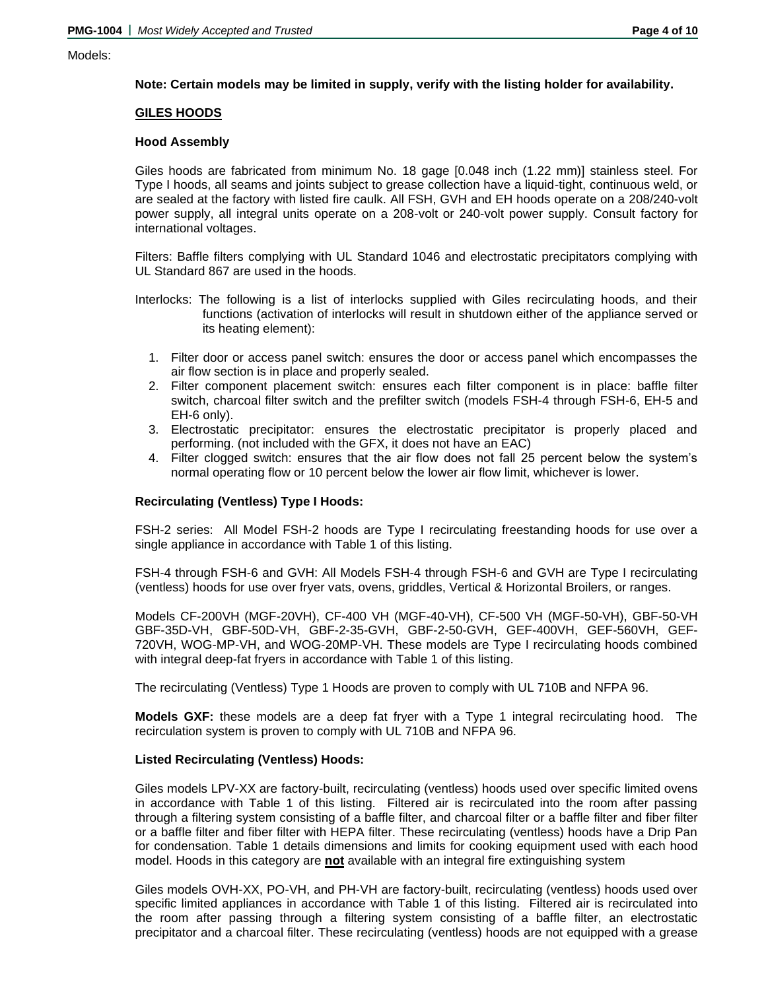#### Models:

## **Note: Certain models may be limited in supply, verify with the listing holder for availability.**

## **GILES HOODS**

#### **Hood Assembly**

Giles hoods are fabricated from minimum No. 18 gage [0.048 inch (1.22 mm)] stainless steel. For Type I hoods, all seams and joints subject to grease collection have a liquid-tight, continuous weld, or are sealed at the factory with listed fire caulk. All FSH, GVH and EH hoods operate on a 208/240-volt power supply, all integral units operate on a 208-volt or 240-volt power supply. Consult factory for international voltages.

Filters: Baffle filters complying with UL Standard 1046 and electrostatic precipitators complying with UL Standard 867 are used in the hoods.

- Interlocks: The following is a list of interlocks supplied with Giles recirculating hoods, and their functions (activation of interlocks will result in shutdown either of the appliance served or its heating element):
	- 1. Filter door or access panel switch: ensures the door or access panel which encompasses the air flow section is in place and properly sealed.
	- 2. Filter component placement switch: ensures each filter component is in place: baffle filter switch, charcoal filter switch and the prefilter switch (models FSH-4 through FSH-6, EH-5 and EH-6 only).
	- 3. Electrostatic precipitator: ensures the electrostatic precipitator is properly placed and performing. (not included with the GFX, it does not have an EAC)
	- 4. Filter clogged switch: ensures that the air flow does not fall 25 percent below the system's normal operating flow or 10 percent below the lower air flow limit, whichever is lower.

## **Recirculating (Ventless) Type I Hoods:**

FSH-2 series: All Model FSH-2 hoods are Type I recirculating freestanding hoods for use over a single appliance in accordance with Table 1 of this listing.

FSH-4 through FSH-6 and GVH: All Models FSH-4 through FSH-6 and GVH are Type I recirculating (ventless) hoods for use over fryer vats, ovens, griddles, Vertical & Horizontal Broilers, or ranges.

Models CF-200VH (MGF-20VH), CF-400 VH (MGF-40-VH), CF-500 VH (MGF-50-VH), GBF-50-VH GBF-35D-VH, GBF-50D-VH, GBF-2-35-GVH, GBF-2-50-GVH, GEF-400VH, GEF-560VH, GEF-720VH, WOG-MP-VH, and WOG-20MP-VH. These models are Type I recirculating hoods combined with integral deep-fat fryers in accordance with Table 1 of this listing.

The recirculating (Ventless) Type 1 Hoods are proven to comply with UL 710B and NFPA 96.

**Models GXF:** these models are a deep fat fryer with a Type 1 integral recirculating hood. The recirculation system is proven to comply with UL 710B and NFPA 96.

## **Listed Recirculating (Ventless) Hoods:**

Giles models LPV-XX are factory-built, recirculating (ventless) hoods used over specific limited ovens in accordance with Table 1 of this listing. Filtered air is recirculated into the room after passing through a filtering system consisting of a baffle filter, and charcoal filter or a baffle filter and fiber filter or a baffle filter and fiber filter with HEPA filter. These recirculating (ventless) hoods have a Drip Pan for condensation. Table 1 details dimensions and limits for cooking equipment used with each hood model. Hoods in this category are **not** available with an integral fire extinguishing system

Giles models OVH-XX, PO-VH, and PH-VH are factory-built, recirculating (ventless) hoods used over specific limited appliances in accordance with Table 1 of this listing. Filtered air is recirculated into the room after passing through a filtering system consisting of a baffle filter, an electrostatic precipitator and a charcoal filter. These recirculating (ventless) hoods are not equipped with a grease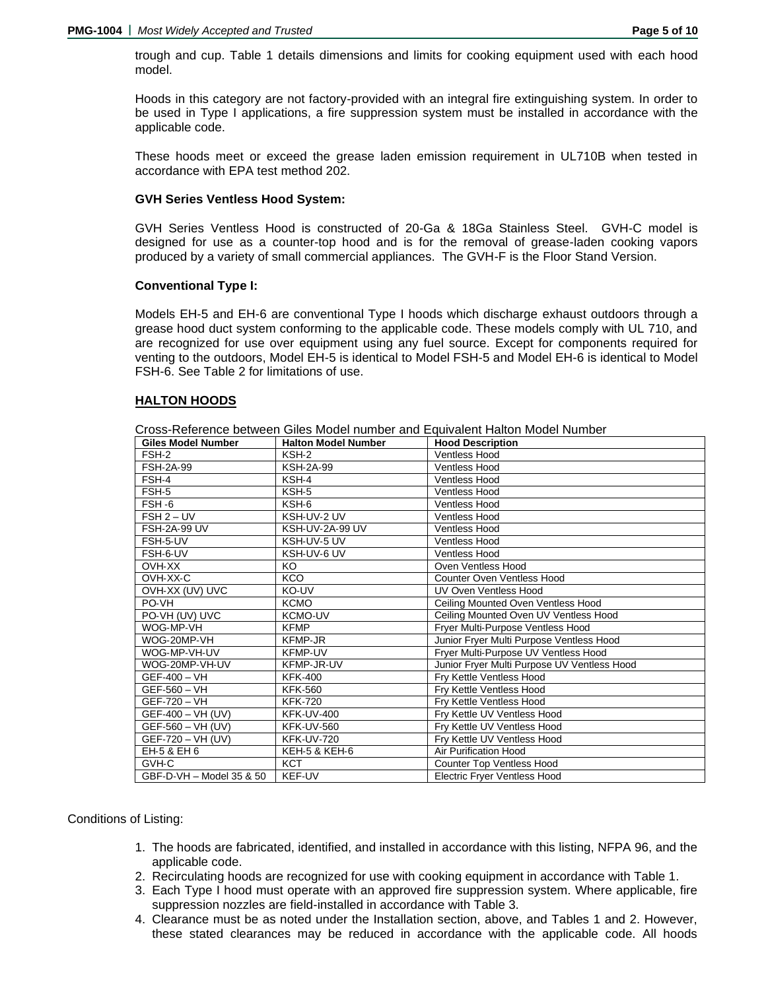trough and cup. Table 1 details dimensions and limits for cooking equipment used with each hood model.

Hoods in this category are not factory-provided with an integral fire extinguishing system. In order to be used in Type I applications, a fire suppression system must be installed in accordance with the applicable code.

These hoods meet or exceed the grease laden emission requirement in UL710B when tested in accordance with EPA test method 202.

## **GVH Series Ventless Hood System:**

GVH Series Ventless Hood is constructed of 20-Ga & 18Ga Stainless Steel. GVH-C model is designed for use as a counter-top hood and is for the removal of grease-laden cooking vapors produced by a variety of small commercial appliances. The GVH-F is the Floor Stand Version.

### **Conventional Type I:**

Models EH-5 and EH-6 are conventional Type I hoods which discharge exhaust outdoors through a grease hood duct system conforming to the applicable code. These models comply with UL 710, and are recognized for use over equipment using any fuel source. Except for components required for venting to the outdoors, Model EH-5 is identical to Model FSH-5 and Model EH-6 is identical to Model FSH-6. See Table 2 for limitations of use.

### **HALTON HOODS**

| <b>Giles Model Number</b> | <b>Halton Model Number</b> | <b>Hood Description</b>                     |
|---------------------------|----------------------------|---------------------------------------------|
| FSH-2                     | KSH-2                      | <b>Ventless Hood</b>                        |
| <b>FSH-2A-99</b>          | <b>KSH-2A-99</b>           | <b>Ventless Hood</b>                        |
| FSH-4                     | KSH-4                      | <b>Ventless Hood</b>                        |
| FSH-5                     | KSH-5                      | <b>Ventless Hood</b>                        |
| FSH-6                     | KSH-6                      | <b>Ventless Hood</b>                        |
| $FSH 2 - UV$              | KSH-UV-2 UV                | <b>Ventless Hood</b>                        |
| <b>FSH-2A-99 UV</b>       | <b>KSH-UV-2A-99 UV</b>     | <b>Ventless Hood</b>                        |
| FSH-5-UV                  | KSH-UV-5 UV                | <b>Ventless Hood</b>                        |
| FSH-6-UV                  | KSH-UV-6 UV                | <b>Ventless Hood</b>                        |
| OVH-XX                    | KO                         | Oven Ventless Hood                          |
| OVH-XX-C                  | <b>KCO</b>                 | <b>Counter Oven Ventless Hood</b>           |
| OVH-XX (UV) UVC           | KO-UV                      | UV Oven Ventless Hood                       |
| PO-VH                     | <b>KCMO</b>                | Ceiling Mounted Oven Ventless Hood          |
| PO-VH (UV) UVC            | KCMO-UV                    | Ceiling Mounted Oven UV Ventless Hood       |
| WOG-MP-VH                 | <b>KFMP</b>                | Fryer Multi-Purpose Ventless Hood           |
| WOG-20MP-VH               | KFMP-JR                    | Junior Fryer Multi Purpose Ventless Hood    |
| WOG-MP-VH-UV              | <b>KFMP-UV</b>             | Fryer Multi-Purpose UV Ventless Hood        |
| WOG-20MP-VH-UV            | KFMP-JR-UV                 | Junior Fryer Multi Purpose UV Ventless Hood |
| GEF-400 - VH              | <b>KFK-400</b>             | Fry Kettle Ventless Hood                    |
| GEF-560 - VH              | <b>KFK-560</b>             | Fry Kettle Ventless Hood                    |
| GEF-720 - VH              | <b>KFK-720</b>             | Fry Kettle Ventless Hood                    |
| GEF-400 - VH (UV)         | <b>KFK-UV-400</b>          | Fry Kettle UV Ventless Hood                 |
| GEF-560 - VH (UV)         | <b>KFK-UV-560</b>          | Fry Kettle UV Ventless Hood                 |
| GEF-720 - VH (UV)         | <b>KFK-UV-720</b>          | Fry Kettle UV Ventless Hood                 |
| EH-5 & EH 6               | KEH-5 & KEH-6              | Air Purification Hood                       |
| GVH-C                     | <b>KCT</b>                 | <b>Counter Top Ventless Hood</b>            |
| GBF-D-VH - Model 35 & 50  | KEF-UV                     | <b>Electric Fryer Ventless Hood</b>         |

Cross-Reference between Giles Model number and Equivalent Halton Model Number

# Conditions of Listing:

- 1. The hoods are fabricated, identified, and installed in accordance with this listing, NFPA 96, and the applicable code.
- 2. Recirculating hoods are recognized for use with cooking equipment in accordance with Table 1.
- 3. Each Type I hood must operate with an approved fire suppression system. Where applicable, fire suppression nozzles are field-installed in accordance with Table 3.
- 4. Clearance must be as noted under the Installation section, above, and Tables 1 and 2. However, these stated clearances may be reduced in accordance with the applicable code. All hoods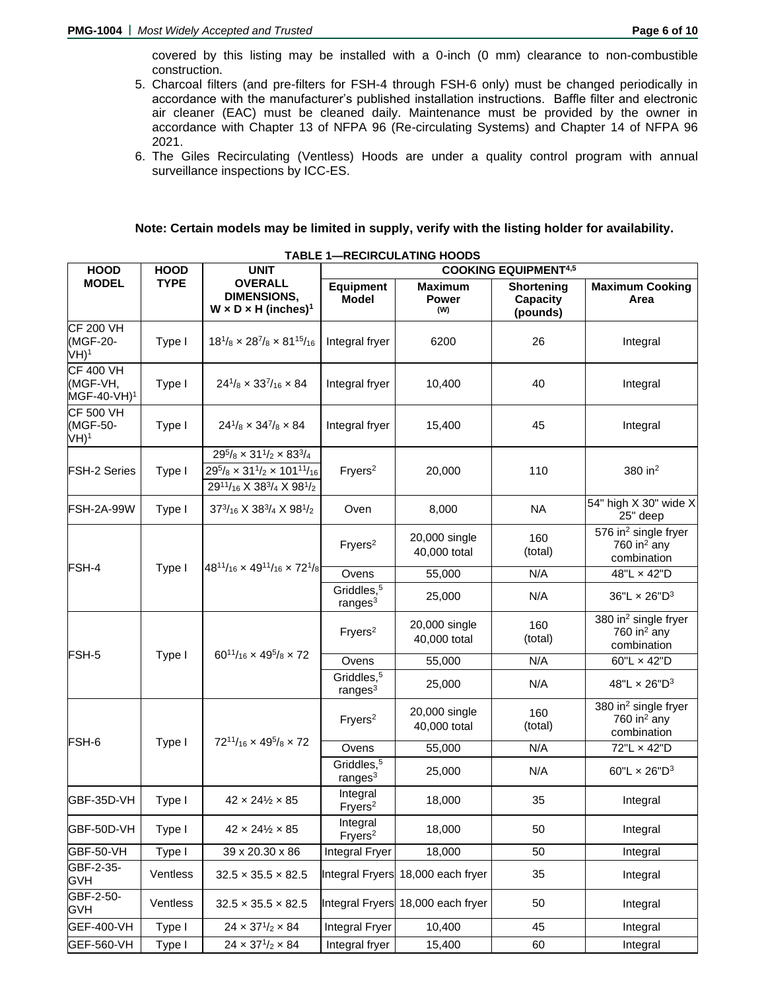covered by this listing may be installed with a 0-inch (0 mm) clearance to non-combustible construction.

- 5. Charcoal filters (and pre-filters for FSH-4 through FSH-6 only) must be changed periodically in accordance with the manufacturer's published installation instructions. Baffle filter and electronic air cleaner (EAC) must be cleaned daily. Maintenance must be provided by the owner in accordance with Chapter 13 of NFPA 96 (Re-circulating Systems) and Chapter 14 of NFPA 96 2021.
- 6. The Giles Recirculating (Ventless) Hoods are under a quality control program with annual surveillance inspections by ICC-ES.

# **Note: Certain models may be limited in supply, verify with the listing holder for availability.**

| <b>HOOD</b>                                             | <b>HOOD</b> | <b>UNIT</b>                                                                                                                                                                                  | <b>COOKING EQUIPMENT4,5</b>                  |                                       |                                           |                                                                    |  |  |  |  |
|---------------------------------------------------------|-------------|----------------------------------------------------------------------------------------------------------------------------------------------------------------------------------------------|----------------------------------------------|---------------------------------------|-------------------------------------------|--------------------------------------------------------------------|--|--|--|--|
| <b>MODEL</b>                                            | <b>TYPE</b> | <b>OVERALL</b><br><b>DIMENSIONS,</b><br>$W \times D \times H$ (inches) <sup>1</sup>                                                                                                          | <b>Equipment</b><br><b>Model</b>             | <b>Maximum</b><br><b>Power</b><br>(W) | <b>Shortening</b><br>Capacity<br>(pounds) | <b>Maximum Cooking</b><br>Area                                     |  |  |  |  |
| <b>CF 200 VH</b><br>(MGF-20-<br>$VH$ <sup>1</sup>       | Type I      | $18^{1}/_8 \times 28^{7}/_8 \times 81^{15}/_{16}$                                                                                                                                            | Integral fryer                               | 6200                                  | 26                                        | Integral                                                           |  |  |  |  |
| <b>CF 400 VH</b><br>(MGF-VH,<br>MGF-40-VH) <sup>1</sup> | Type I      | $24^{1}/_8 \times 33^{7}/_{16} \times 84$                                                                                                                                                    | Integral fryer                               | 10,400                                | 40                                        | Integral                                                           |  |  |  |  |
| <b>CF 500 VH</b><br>(MGF-50-<br>$VH$ <sup>1</sup>       | Type I      | $24^{1}/_8 \times 34^{7}/_8 \times 84$                                                                                                                                                       | Integral fryer                               | 15,400                                | 45                                        | Integral                                                           |  |  |  |  |
| <b>FSH-2 Series</b>                                     | Type I      | $29^{5}/_8 \times 31^{1}/_2 \times 83^{3}/_4$<br>$29^{5}/_8 \times 31^{1}/_2 \times 101^{11}/_{16}$<br>2911/ <sub>16</sub> X 38 <sup>3</sup> / <sub>4</sub> X 98 <sup>1</sup> / <sub>2</sub> | Fryers <sup>2</sup>                          | 20,000                                | 110                                       | 380 in <sup>2</sup>                                                |  |  |  |  |
| <b>FSH-2A-99W</b>                                       | Type I      | $37^{3}/_{16}$ X $38^{3}/_{4}$ X $98^{1}/_{2}$                                                                                                                                               | Oven                                         | 8,000                                 | <b>NA</b>                                 | 54" high X 30" wide X<br>25" deep                                  |  |  |  |  |
|                                                         |             |                                                                                                                                                                                              | Fryers <sup>2</sup>                          | 20,000 single<br>40,000 total         | 160<br>(total)                            | 576 in <sup>2</sup> single fryer<br>760 in $2$ any<br>combination  |  |  |  |  |
| FSH-4                                                   | Type I      | $48^{11}/_{16} \times 49^{11}/_{16} \times 72^{1}/_{8}$                                                                                                                                      | Ovens                                        | 55,000                                | N/A                                       | 48"L x 42"D                                                        |  |  |  |  |
|                                                         |             |                                                                                                                                                                                              | Griddles, <sup>5</sup><br>range <sub>3</sub> | 25,000                                | N/A                                       | 36"L $\times$ 26"D <sup>3</sup>                                    |  |  |  |  |
|                                                         |             |                                                                                                                                                                                              | Fryers <sup>2</sup>                          | 20,000 single<br>40,000 total         | 160<br>(total)                            | 380 in <sup>2</sup> single fryer<br>760 in $^2$ any<br>combination |  |  |  |  |
| FSH-5                                                   | Type I      | $60^{11}/_{16} \times 49^{5}/_{8} \times 72$                                                                                                                                                 | Ovens                                        | 55,000                                | N/A                                       | 60"L x 42"D                                                        |  |  |  |  |
|                                                         |             |                                                                                                                                                                                              | Griddles, <sup>5</sup><br>range <sub>3</sub> | 25,000                                | N/A                                       | 48"L × 26"D <sup>3</sup>                                           |  |  |  |  |
| FSH-6                                                   | Type I      | $72^{11}/_{16} \times 49^{5}/_{8} \times 72$                                                                                                                                                 | Fryers <sup>2</sup>                          | 20,000 single<br>40,000 total         | 160<br>(total)                            | 380 in <sup>2</sup> single fryer<br>760 in $2$ any<br>combination  |  |  |  |  |
|                                                         |             |                                                                                                                                                                                              | Ovens                                        | 55,000                                | N/A                                       | 72"L x 42"D                                                        |  |  |  |  |
|                                                         |             |                                                                                                                                                                                              | Griddles, <sup>5</sup><br>range <sub>3</sub> | 25,000                                | N/A                                       | 60"L $\times$ 26"D <sup>3</sup>                                    |  |  |  |  |
| GBF-35D-VH                                              | Type I      | $42 \times 24\frac{1}{2} \times 85$                                                                                                                                                          | Integral<br>Fryers <sup>2</sup>              | 18,000                                | 35                                        | Integral                                                           |  |  |  |  |
| GBF-50D-VH                                              | Type I      | $42 \times 24\frac{1}{2} \times 85$                                                                                                                                                          | Integral<br>Fryers <sup>2</sup>              | 18,000                                | 50                                        | Integral                                                           |  |  |  |  |
| GBF-50-VH                                               | Type I      | 39 x 20.30 x 86                                                                                                                                                                              | Integral Fryer                               | 18,000                                | 50                                        | Integral                                                           |  |  |  |  |
| GBF-2-35-<br><b>GVH</b>                                 | Ventless    | $32.5 \times 35.5 \times 82.5$                                                                                                                                                               |                                              | Integral Fryers 18,000 each fryer     | 35                                        | Integral                                                           |  |  |  |  |
| GBF-2-50-<br><b>GVH</b>                                 | Ventless    | $32.5 \times 35.5 \times 82.5$                                                                                                                                                               |                                              | Integral Fryers 18,000 each fryer     | 50                                        | Integral                                                           |  |  |  |  |
| GEF-400-VH                                              | Type I      | $24 \times 37^{1/2} \times 84$                                                                                                                                                               | <b>Integral Fryer</b>                        | 10,400                                | 45                                        | Integral                                                           |  |  |  |  |
| GEF-560-VH                                              | Type I      | $24 \times 37^{1/2} \times 84$                                                                                                                                                               | Integral fryer                               | 15,400                                | 60                                        | Integral                                                           |  |  |  |  |

**TABLE 1—RECIRCULATING HOODS**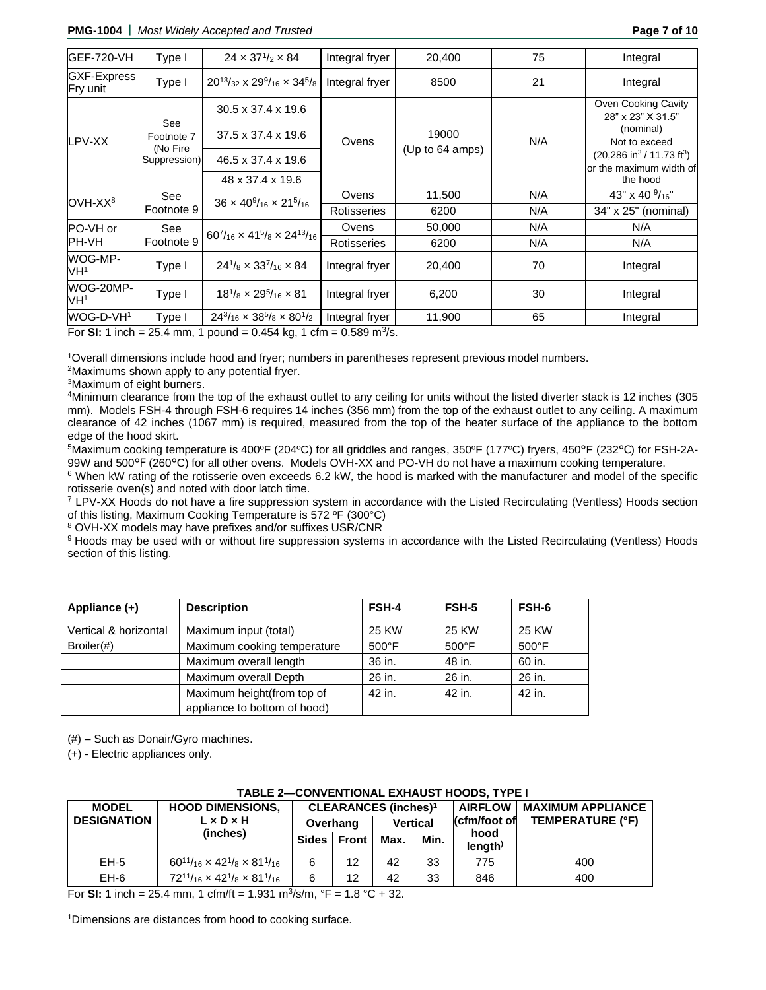**PMG-1004 |** *Most Widely Accepted and Trusted* **Page 7 of 10**

| <b>GEF-720-VH</b>          | Type I                   | $24 \times 37^{1/2} \times 84$                             | Integral fryer | 20,400          | 75  | Integral                                                                             |
|----------------------------|--------------------------|------------------------------------------------------------|----------------|-----------------|-----|--------------------------------------------------------------------------------------|
| GXF-Express<br>Fry unit    | Type I                   | $20^{13}/_{32}$ x $29^{9}/_{16}$ x $34^{5}/_{8}$           | Integral fryer | 8500            | 21  | Integral                                                                             |
| LPV-XX                     | See<br>Footnote 7        | $30.5 \times 37.4 \times 19.6$<br>37.5 x 37.4 x 19.6       | Ovens          | 19000           | N/A | Oven Cooking Cavity<br>28" x 23" X 31.5"<br>(nominal)<br>Not to exceed               |
|                            | (No Fire<br>Suppression) | 46.5 x 37.4 x 19.6<br>48 x 37.4 x 19.6                     |                | (Up to 64 amps) |     | $(20, 286 \text{ in}^3 / 11.73 \text{ ft}^3)$<br>or the maximum width of<br>the hood |
| OVH-XX <sup>8</sup>        | See                      | $36 \times 40\%$ <sub>16</sub> $\times 21\%$ <sub>16</sub> | Ovens          | 11,500          | N/A | 43" x 40 $\frac{9}{16}$ "                                                            |
|                            | Footnote 9               |                                                            | Rotisseries    | 6200            | N/A | 34" x 25" (nominal)                                                                  |
| PO-VH or                   | See                      | $60^{7}/_{16} \times 41^{5}/_{8} \times 24^{13}/_{16}$     | Ovens          | 50,000          | N/A | N/A                                                                                  |
| IPH-VH                     | Footnote 9               |                                                            | Rotisseries    | 6200            | N/A | N/A                                                                                  |
| WOG-MP-<br>VH <sup>1</sup> | Type I                   | $24^{1}/8 \times 33^{7}/16 \times 84$                      | Integral fryer | 20,400          | 70  | Integral                                                                             |
| WOG-20MP-<br>VH1           | Type I                   | $18^{1}/_8 \times 29^{5}/_{16} \times 81$                  | Integral fryer | 6,200           | 30  | Integral                                                                             |
| WOG-D-VH <sup>1</sup>      | Type I                   | $24^{3}/_{16} \times 38^{5}/_{8} \times 80^{1}/_{2}$       | Integral fryer | 11,900          | 65  | Integral                                                                             |

For SI: 1 inch =  $25.4$  mm, 1 pound =  $0.454$  kg, 1 cfm =  $0.589$  m<sup>3</sup>/s.

<sup>1</sup>Overall dimensions include hood and fryer; numbers in parentheses represent previous model numbers.

<sup>2</sup>Maximums shown apply to any potential fryer.

<sup>3</sup>Maximum of eight burners.

<sup>4</sup>Minimum clearance from the top of the exhaust outlet to any ceiling for units without the listed diverter stack is 12 inches (305 mm). Models FSH-4 through FSH-6 requires 14 inches (356 mm) from the top of the exhaust outlet to any ceiling. A maximum clearance of 42 inches (1067 mm) is required, measured from the top of the heater surface of the appliance to the bottom edge of the hood skirt.

5Maximum cooking temperature is 400ºF (204ºC) for all griddles and ranges, 350ºF (177ºC) fryers, 450°F (232°C) for FSH-2A-99W and 500°F (260°C) for all other ovens. Models OVH-XX and PO-VH do not have a maximum cooking temperature.

<sup>6</sup> When kW rating of the rotisserie oven exceeds 6.2 kW, the hood is marked with the manufacturer and model of the specific rotisserie oven(s) and noted with door latch time.

<sup>7</sup> LPV-XX Hoods do not have a fire suppression system in accordance with the Listed Recirculating (Ventless) Hoods section of this listing, Maximum Cooking Temperature is 572 ºF (300°C)

<sup>8</sup> OVH-XX models may have prefixes and/or suffixes USR/CNR

9 Hoods may be used with or without fire suppression systems in accordance with the Listed Recirculating (Ventless) Hoods section of this listing.

| Appliance (+)         | <b>Description</b>           | <b>FSH-4</b>    | FSH-5           | FSH-6           |
|-----------------------|------------------------------|-----------------|-----------------|-----------------|
| Vertical & horizontal | Maximum input (total)        | 25 KW           | 25 KW           | 25 KW           |
| $Broiler(\#)$         | Maximum cooking temperature  | $500^{\circ}$ F | $500^{\circ}$ F | $500^{\circ}$ F |
|                       | Maximum overall length       | 36 in.          | 48 in.          | 60 in.          |
|                       | Maximum overall Depth        | 26 in.          | 26 in.          | 26 in.          |
|                       | Maximum height(from top of   | 42 in.          | 42 in.          | 42 in.          |
|                       | appliance to bottom of hood) |                 |                 |                 |

(#) – Such as Donair/Gyro machines.

(+) - Electric appliances only.

| <u>IABLE Z-CUNVENTIUNAL EXHAUST HUUDS, ITTET</u> |                                                        |                                        |              |                 |      |                       |                          |  |  |  |
|--------------------------------------------------|--------------------------------------------------------|----------------------------------------|--------------|-----------------|------|-----------------------|--------------------------|--|--|--|
| <b>MODEL</b>                                     | <b>HOOD DIMENSIONS,</b>                                | <b>CLEARANCES (inches)<sup>1</sup></b> |              |                 |      | <b>AIRFLOW</b>        | <b>MAXIMUM APPLIANCE</b> |  |  |  |
| <b>DESIGNATION</b>                               | $L \times D \times H$                                  |                                        | Overhang     | <b>Vertical</b> |      | ∏cfm/foot of          | TEMPERATURE (°F)         |  |  |  |
|                                                  | (inches)                                               | Sides I                                | <b>Front</b> | Max.            | Min. | hood<br>$l$ ength $l$ |                          |  |  |  |
| $EH-5$                                           | $60^{11}/_{16} \times 42^{1}/_{8} \times 81^{1}/_{16}$ | 6                                      | 12           | 42              | 33   | 775                   | 400                      |  |  |  |
| $EH-6$                                           | $72^{11}/_{16} \times 42^{1}/_{8} \times 81^{1}/_{16}$ | 6                                      | 12           | 42              | 33   | 846                   | 400                      |  |  |  |

#### **TABLE 2—CONVENTIONAL EXHAUST HOODS, TYPE I**

For **SI:** 1 inch = 25.4 mm, 1 cfm/ft = 1.931 m<sup>3</sup> /s/m, °F = 1.8 °C + 32.

<sup>1</sup>Dimensions are distances from hood to cooking surface.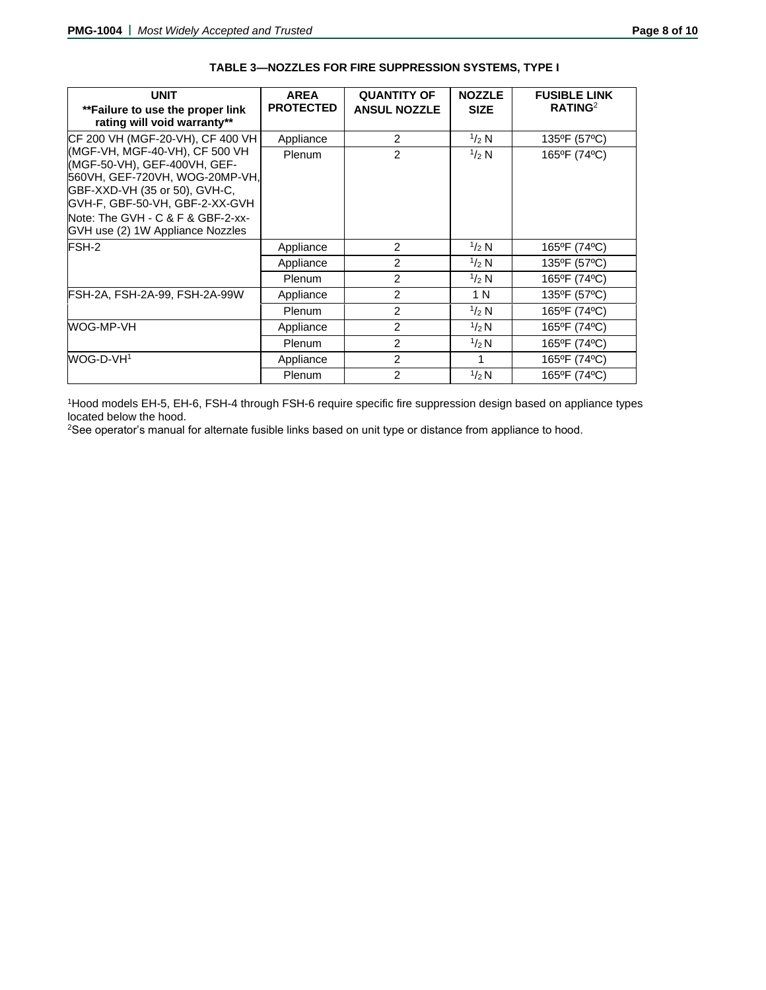| <b>UNIT</b>                                                                                                                                                                                                                                  | <b>AREA</b>      | <b>QUANTITY OF</b>  | <b>NOZZLE</b>  | <b>FUSIBLE LINK</b> |
|----------------------------------------------------------------------------------------------------------------------------------------------------------------------------------------------------------------------------------------------|------------------|---------------------|----------------|---------------------|
| **Failure to use the proper link<br>rating will void warranty**                                                                                                                                                                              | <b>PROTECTED</b> | <b>ANSUL NOZZLE</b> | <b>SIZE</b>    | RATING <sup>2</sup> |
| ICF 200 VH (MGF-20-VH), CF 400 VH                                                                                                                                                                                                            | Appliance        | $\overline{2}$      | $\frac{1}{2}N$ | 135°F (57°C)        |
| (MGF-VH, MGF-40-VH), CF 500 VH<br>(MGF-50-VH), GEF-400VH, GEF-<br>560VH, GEF-720VH, WOG-20MP-VH,<br>GBF-XXD-VH (35 or 50), GVH-C,<br>GVH-F, GBF-50-VH, GBF-2-XX-GVH<br>Note: The GVH - C & F & GBF-2-xx-<br>GVH use (2) 1W Appliance Nozzles | Plenum           | $\overline{2}$      | $1/2$ N        | 165°F (74°C)        |
| FSH-2                                                                                                                                                                                                                                        | Appliance        | $\overline{2}$      | $1/2$ N        | 165°F (74°C)        |
|                                                                                                                                                                                                                                              | Appliance        | $\overline{2}$      | $^{1/2}$ N     | 135°F (57°C)        |
|                                                                                                                                                                                                                                              | Plenum           | $\overline{2}$      | $1/2$ N        | 165°F (74°C)        |
| FSH-2A, FSH-2A-99, FSH-2A-99W                                                                                                                                                                                                                | Appliance        | $\overline{2}$      | 1 N            | 135°F (57°C)        |
|                                                                                                                                                                                                                                              | Plenum           | $\overline{2}$      | 1/2 N          | 165°F (74°C)        |
| WOG-MP-VH                                                                                                                                                                                                                                    | Appliance        | $\overline{2}$      | 1/2 N          | 165°F (74°C)        |
|                                                                                                                                                                                                                                              | Plenum           | $\overline{2}$      | $\frac{1}{2}N$ | 165°F (74°C)        |
| WOG-D-VH <sup>1</sup>                                                                                                                                                                                                                        | Appliance        | 2                   | 1              | 165°F (74°C)        |
|                                                                                                                                                                                                                                              | Plenum           | $\overline{2}$      | $\frac{1}{2}N$ | 165°F (74°C)        |

# **TABLE 3—NOZZLES FOR FIRE SUPPRESSION SYSTEMS, TYPE I**

<sup>1</sup>Hood models EH-5, EH-6, FSH-4 through FSH-6 require specific fire suppression design based on appliance types located below the hood.

2See operator's manual for alternate fusible links based on unit type or distance from appliance to hood.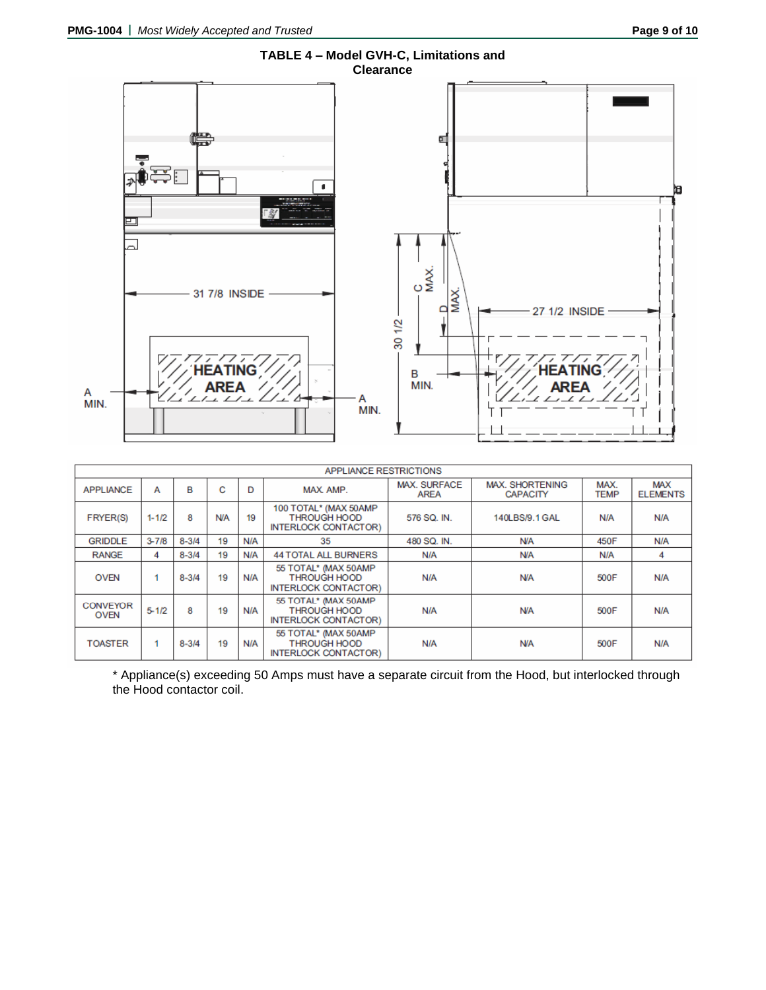

|                                | <b>APPLIANCE RESTRICTIONS</b> |           |            |     |                                                                              |                                    |                                           |                     |                               |  |
|--------------------------------|-------------------------------|-----------|------------|-----|------------------------------------------------------------------------------|------------------------------------|-------------------------------------------|---------------------|-------------------------------|--|
| <b>APPLIANCE</b>               | А                             | в         | С          | D   | MAX AMP.                                                                     | <b>MAX. SURFACE</b><br><b>AREA</b> | <b>MAX. SHORTENING</b><br><b>CAPACITY</b> | MAX.<br><b>TEMP</b> | <b>MAX</b><br><b>ELEMENTS</b> |  |
| <b>FRYER(S)</b>                | $1 - 1/2$                     | 8         | <b>N/A</b> | 19  | 100 TOTAL* (MAX 50AMP)<br><b>THROUGH HOOD</b><br><b>INTERLOCK CONTACTOR)</b> | 576 SQ. IN.                        | 140LBS/9.1 GAL                            | N/A                 | N/A                           |  |
| <b>GRIDDLE</b>                 | $3 - 7/8$                     | $8 - 3/4$ | 19         | N/A | 35                                                                           | 480 SQ. IN.                        | <b>N/A</b>                                | 450F                | N/A                           |  |
| <b>RANGE</b>                   | 4                             | $8 - 3/4$ | 19         | N/A | <b>44 TOTAL ALL BURNERS</b>                                                  | N/A                                | <b>N/A</b>                                | N/A                 | 4                             |  |
| <b>OVEN</b>                    |                               | $8 - 3/4$ | 19         | N/A | 55 TOTAL* (MAX 50AMP)<br><b>THROUGH HOOD</b><br><b>INTERLOCK CONTACTOR)</b>  | N/A                                | <b>N/A</b>                                | 500F                | N/A                           |  |
| <b>CONVEYOR</b><br><b>OVEN</b> | $5 - 1/2$                     | 8         | 19         | N/A | 55 TOTAL* (MAX 50AMP)<br><b>THROUGH HOOD</b><br><b>INTERLOCK CONTACTOR)</b>  | N/A                                | <b>N/A</b>                                | 500F                | N/A                           |  |
| <b>TOASTER</b>                 |                               | $8 - 3/4$ | 19         | N/A | 55 TOTAL* (MAX 50AMP)<br><b>THROUGH HOOD</b><br><b>INTERLOCK CONTACTOR)</b>  | N/A                                | <b>N/A</b>                                | 500F                | N/A                           |  |

\* Appliance(s) exceeding 50 Amps must have a separate circuit from the Hood, but interlocked through the Hood contactor coil.